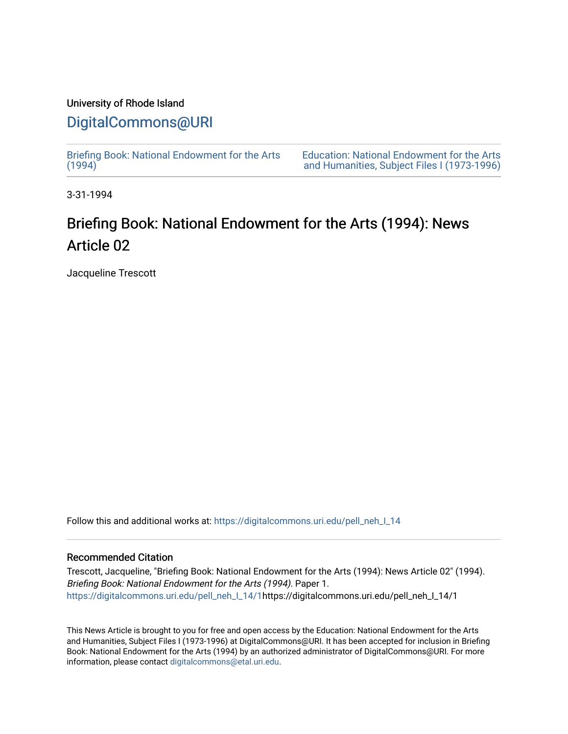### University of Rhode Island [DigitalCommons@URI](https://digitalcommons.uri.edu/)

[Briefing Book: National Endowment for the Arts](https://digitalcommons.uri.edu/pell_neh_I_14)  $(1994)$ 

[Education: National Endowment for the Arts](https://digitalcommons.uri.edu/pell_neh_I)  [and Humanities, Subject Files I \(1973-1996\)](https://digitalcommons.uri.edu/pell_neh_I) 

3-31-1994

## Briefing Book: National Endowment for the Arts (1994): News Article 02

Jacqueline Trescott

Follow this and additional works at: [https://digitalcommons.uri.edu/pell\\_neh\\_I\\_14](https://digitalcommons.uri.edu/pell_neh_I_14?utm_source=digitalcommons.uri.edu%2Fpell_neh_I_14%2F1&utm_medium=PDF&utm_campaign=PDFCoverPages) 

### Recommended Citation

Trescott, Jacqueline, "Briefing Book: National Endowment for the Arts (1994): News Article 02" (1994). Briefing Book: National Endowment for the Arts (1994). Paper 1. [https://digitalcommons.uri.edu/pell\\_neh\\_I\\_14/1h](https://digitalcommons.uri.edu/pell_neh_I_14/1?utm_source=digitalcommons.uri.edu%2Fpell_neh_I_14%2F1&utm_medium=PDF&utm_campaign=PDFCoverPages)ttps://digitalcommons.uri.edu/pell\_neh\_I\_14/1

This News Article is brought to you for free and open access by the Education: National Endowment for the Arts and Humanities, Subject Files I (1973-1996) at DigitalCommons@URI. It has been accepted for inclusion in Briefing Book: National Endowment for the Arts (1994) by an authorized administrator of DigitalCommons@URI. For more information, please contact [digitalcommons@etal.uri.edu.](mailto:digitalcommons@etal.uri.edu)